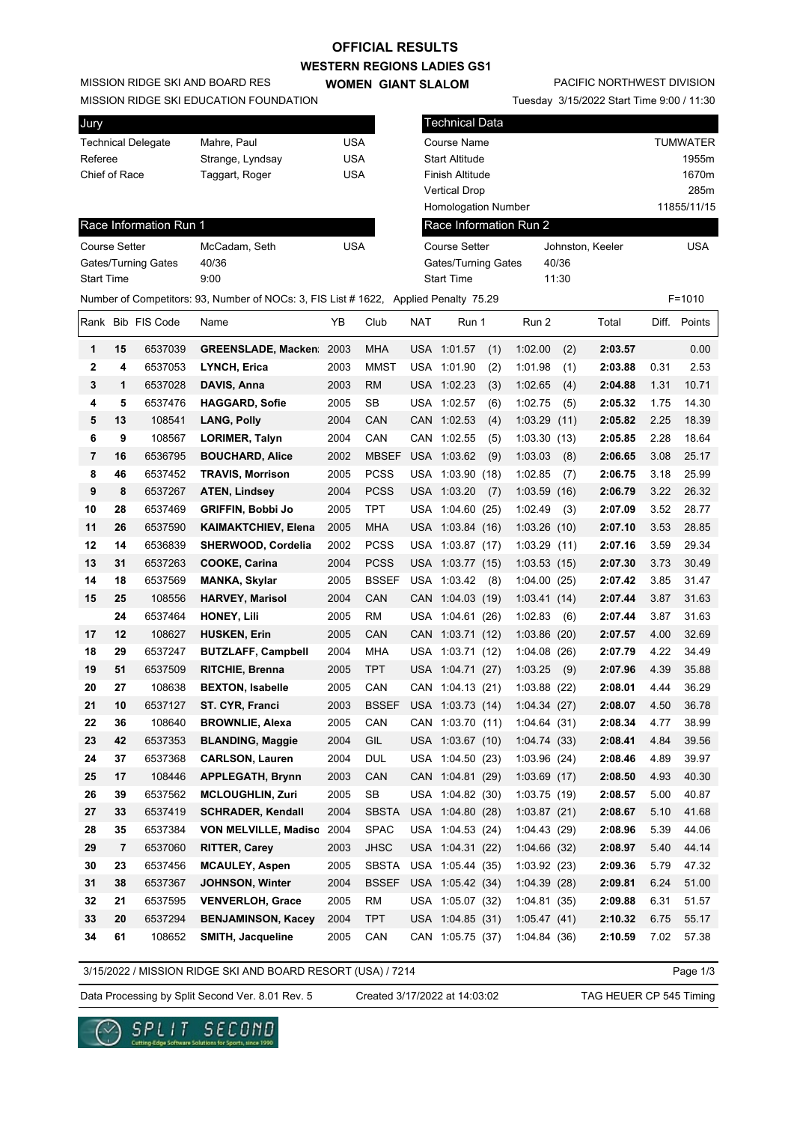#### **WESTERN REGIONS LADIES GS1 OFFICIAL RESULTS**

**WOMEN GIANT SLALOM**

MISSION RIDGE SKI AND BOARD RES

MISSION RIDGE SKI EDUCATION FOUNDATION

| Jury                      |                  |     |
|---------------------------|------------------|-----|
| <b>Technical Delegate</b> | Mahre, Paul      | USA |
| Referee                   | Strange, Lyndsay | USA |
| Chief of Race             | Taggart, Roger   | USA |
|                           |                  |     |

#### PACIFIC NORTHWEST DIVISION

Tuesday 3/15/2022 Start Time 9:00 / 11:30

| Jury                 |    |                           |                                                                                      |            |              |     | <b>Technical Data</b> |     |                        |       |                  |      |                 |
|----------------------|----|---------------------------|--------------------------------------------------------------------------------------|------------|--------------|-----|-----------------------|-----|------------------------|-------|------------------|------|-----------------|
|                      |    | <b>Technical Delegate</b> | Mahre, Paul                                                                          | USA        |              |     | Course Name           |     |                        |       |                  |      | <b>TUMWATER</b> |
| Referee              |    |                           | Strange, Lyndsay                                                                     | USA        |              |     | <b>Start Altitude</b> |     |                        |       |                  |      | 1955m           |
| Chief of Race        |    |                           | Taggart, Roger                                                                       | <b>USA</b> |              |     | Finish Altitude       |     |                        |       |                  |      | 1670m           |
|                      |    |                           |                                                                                      |            |              |     | <b>Vertical Drop</b>  |     |                        |       |                  |      | 285m            |
|                      |    |                           |                                                                                      |            |              |     | Homologation Number   |     |                        |       |                  |      | 11855/11/15     |
|                      |    | Race Information Run 1    |                                                                                      |            |              |     |                       |     | Race Information Run 2 |       |                  |      |                 |
| <b>Course Setter</b> |    |                           | McCadam, Seth                                                                        | <b>USA</b> |              |     | <b>Course Setter</b>  |     |                        |       | Johnston, Keeler |      | USA             |
|                      |    | Gates/Turning Gates       | 40/36                                                                                |            |              |     | Gates/Turning Gates   |     |                        | 40/36 |                  |      |                 |
| <b>Start Time</b>    |    |                           | 9:00                                                                                 |            |              |     | <b>Start Time</b>     |     |                        | 11:30 |                  |      |                 |
|                      |    |                           | Number of Competitors: 93, Number of NOCs: 3, FIS List # 1622, Applied Penalty 75.29 |            |              |     |                       |     |                        |       |                  |      | $F = 1010$      |
|                      |    | Rank Bib FIS Code         | Name                                                                                 | YΒ         | Club         | NAT | Run 1                 |     | Run 2                  |       | Total            |      | Diff. Points    |
| 1                    | 15 | 6537039                   | <b>GREENSLADE, Macken</b> 2003                                                       |            | <b>MHA</b>   |     | USA 1:01.57           | (1) | 1:02.00                | (2)   | 2:03.57          |      | 0.00            |
| 2                    | 4  | 6537053                   | <b>LYNCH, Erica</b>                                                                  | 2003       | <b>MMST</b>  |     | USA 1:01.90           | (2) | 1:01.98                | (1)   | 2:03.88          | 0.31 | 2.53            |
| 3                    | 1  | 6537028                   | DAVIS, Anna                                                                          | 2003       | <b>RM</b>    |     | USA 1:02.23           | (3) | 1:02.65                | (4)   | 2:04.88          | 1.31 | 10.71           |
| 4                    | 5  | 6537476                   | <b>HAGGARD, Sofie</b>                                                                | 2005       | SB           |     | USA 1:02.57           | (6) | 1:02.75                | (5)   | 2:05.32          | 1.75 | 14.30           |
| 5                    | 13 | 108541                    | <b>LANG, Polly</b>                                                                   | 2004       | CAN          |     | CAN 1:02.53           | (4) | 1:03.29                | (11)  | 2:05.82          | 2.25 | 18.39           |
| 6                    | 9  | 108567                    | <b>LORIMER, Talyn</b>                                                                | 2004       | CAN          |     | CAN 1:02.55           | (5) | 1:03.30(13)            |       | 2:05.85          | 2.28 | 18.64           |
| 7                    | 16 | 6536795                   | <b>BOUCHARD, Alice</b>                                                               | 2002       | <b>MBSEF</b> |     | USA 1:03.62           | (9) | 1:03.03                | (8)   | 2:06.65          | 3.08 | 25.17           |
| 8                    | 46 | 6537452                   | <b>TRAVIS, Morrison</b>                                                              | 2005       | <b>PCSS</b>  |     | USA 1:03.90 (18)      |     | 1:02.85                | (7)   | 2:06.75          | 3.18 | 25.99           |
| 9                    | 8  | 6537267                   | <b>ATEN, Lindsey</b>                                                                 | 2004       | <b>PCSS</b>  |     | USA 1:03.20           | (7) | 1:03.59(16)            |       | 2:06.79          | 3.22 | 26.32           |
| 10                   | 28 | 6537469                   | <b>GRIFFIN, Bobbi Jo</b>                                                             | 2005       | <b>TPT</b>   |     | USA 1:04.60 (25)      |     | 1:02.49                | (3)   | 2:07.09          | 3.52 | 28.77           |
| 11                   | 26 | 6537590                   | <b>KAIMAKTCHIEV, Elena</b>                                                           | 2005       | <b>MHA</b>   |     | USA 1:03.84 (16)      |     | 1:03.26(10)            |       | 2:07.10          | 3.53 | 28.85           |
| 12                   | 14 | 6536839                   | SHERWOOD, Cordelia                                                                   | 2002       | <b>PCSS</b>  |     | USA 1:03.87 (17)      |     | 1:03.29(11)            |       | 2:07.16          | 3.59 | 29.34           |
| 13                   | 31 | 6537263                   | <b>COOKE, Carina</b>                                                                 | 2004       | <b>PCSS</b>  |     | USA 1:03.77 (15)      |     | 1:03.53(15)            |       | 2:07.30          | 3.73 | 30.49           |
| 14                   | 18 | 6537569                   | <b>MANKA, Skylar</b>                                                                 | 2005       | <b>BSSEF</b> |     | USA 1:03.42           | (8) | 1:04.00(25)            |       | 2:07.42          | 3.85 | 31.47           |
| 15                   | 25 | 108556                    | <b>HARVEY, Marisol</b>                                                               | 2004       | CAN          |     | CAN 1:04.03 (19)      |     | 1:03.41(14)            |       | 2:07.44          | 3.87 | 31.63           |
|                      | 24 | 6537464                   | <b>HONEY, Lili</b>                                                                   | 2005       | RM           |     | USA 1:04.61 (26)      |     | 1:02.83                | (6)   | 2:07.44          | 3.87 | 31.63           |
| 17                   | 12 | 108627                    | <b>HUSKEN, Erin</b>                                                                  | 2005       | CAN          |     | CAN 1:03.71 (12)      |     | 1:03.86(20)            |       | 2:07.57          | 4.00 | 32.69           |
| 18                   | 29 | 6537247                   | <b>BUTZLAFF, Campbell</b>                                                            | 2004       | <b>MHA</b>   |     | USA 1:03.71 (12)      |     | 1:04.08(26)            |       | 2:07.79          | 4.22 | 34.49           |
| 19                   | 51 | 6537509                   | <b>RITCHIE, Brenna</b>                                                               | 2005       | <b>TPT</b>   |     | USA 1:04.71 (27)      |     | 1:03.25                | (9)   | 2:07.96          | 4.39 | 35.88           |
| 20                   | 27 | 108638                    | <b>BEXTON, Isabelle</b>                                                              | 2005       | CAN          | CAN | 1:04.13(21)           |     | 1:03.88                | (22)  | 2:08.01          | 4.44 | 36.29           |
| 21                   | 10 | 6537127                   | ST. CYR, Franci                                                                      | 2003       | <b>BSSEF</b> |     | USA 1:03.73 (14)      |     | 1:04.34(27)            |       | 2:08.07          | 4.50 | 36.78           |
| 22                   | 36 | 108640                    | <b>BROWNLIE, Alexa</b>                                                               | 2005       | CAN          |     | CAN 1:03.70 (11)      |     | 1:04.64(31)            |       | 2:08.34          | 4.77 | 38.99           |
| 23                   | 42 | 6537353                   | <b>BLANDING, Maggie</b>                                                              | 2004       | GIL          |     | USA 1:03.67 (10)      |     | 1:04.74(33)            |       | 2:08.41          | 4.84 | 39.56           |
| 24                   | 37 | 6537368                   | <b>CARLSON, Lauren</b>                                                               | 2004       | <b>DUL</b>   |     | USA 1:04.50 (23)      |     | 1:03.96(24)            |       | 2:08.46          | 4.89 | 39.97           |
| 25                   | 17 | 108446                    | <b>APPLEGATH, Brynn</b>                                                              | 2003       | CAN          |     | CAN 1:04.81 (29)      |     | 1:03.69(17)            |       | 2:08.50          | 4.93 | 40.30           |
| 26                   | 39 | 6537562                   | <b>MCLOUGHLIN, Zuri</b>                                                              | 2005       | SB           |     | USA 1:04.82 (30)      |     | 1:03.75(19)            |       | 2:08.57          | 5.00 | 40.87           |
| 27                   | 33 | 6537419                   | <b>SCHRADER, Kendall</b>                                                             | 2004       | <b>SBSTA</b> |     | USA 1:04.80 (28)      |     | 1:03.87(21)            |       | 2:08.67          | 5.10 | 41.68           |
| 28                   | 35 | 6537384                   | VON MELVILLE, Madisc 2004                                                            |            | <b>SPAC</b>  |     | USA 1:04.53 (24)      |     | 1:04.43(29)            |       | 2:08.96          | 5.39 | 44.06           |
| 29                   | 7  | 6537060                   | <b>RITTER, Carey</b>                                                                 | 2003       | <b>JHSC</b>  |     | USA 1:04.31 (22)      |     | 1:04.66(32)            |       | 2:08.97          | 5.40 | 44.14           |
| 30                   | 23 | 6537456                   | <b>MCAULEY, Aspen</b>                                                                | 2005       | <b>SBSTA</b> |     | USA 1:05.44 (35)      |     | 1:03.92(23)            |       | 2:09.36          | 5.79 | 47.32           |
| 31                   | 38 | 6537367                   | JOHNSON, Winter                                                                      | 2004       | <b>BSSEF</b> |     | USA 1:05.42 (34)      |     | 1:04.39(28)            |       | 2:09.81          | 6.24 | 51.00           |
| 32                   | 21 | 6537595                   | <b>VENVERLOH, Grace</b>                                                              | 2005       | <b>RM</b>    |     | USA 1:05.07 (32)      |     | 1:04.81(35)            |       | 2:09.88          | 6.31 | 51.57           |
| 33                   | 20 | 6537294                   | <b>BENJAMINSON, Kacey</b>                                                            | 2004       | <b>TPT</b>   |     | USA 1:04.85 (31)      |     | 1:05.47(41)            |       | 2:10.32          | 6.75 | 55.17           |
| 34                   | 61 | 108652                    | SMITH, Jacqueline                                                                    | 2005       | CAN          |     | CAN 1:05.75 (37)      |     | 1:04.84(36)            |       | 2:10.59          | 7.02 | 57.38           |
|                      |    |                           |                                                                                      |            |              |     |                       |     |                        |       |                  |      |                 |

3/15/2022 / MISSION RIDGE SKI AND BOARD RESORT (USA) / 7214

Data Processing by Split Second Ver. 8.01 Rev. 5 Created 3/17/2022 at 14:03:02 TAG HEUER CP 545 Timing

Page 1/3

Created 3/17/2022 at 14:03:02

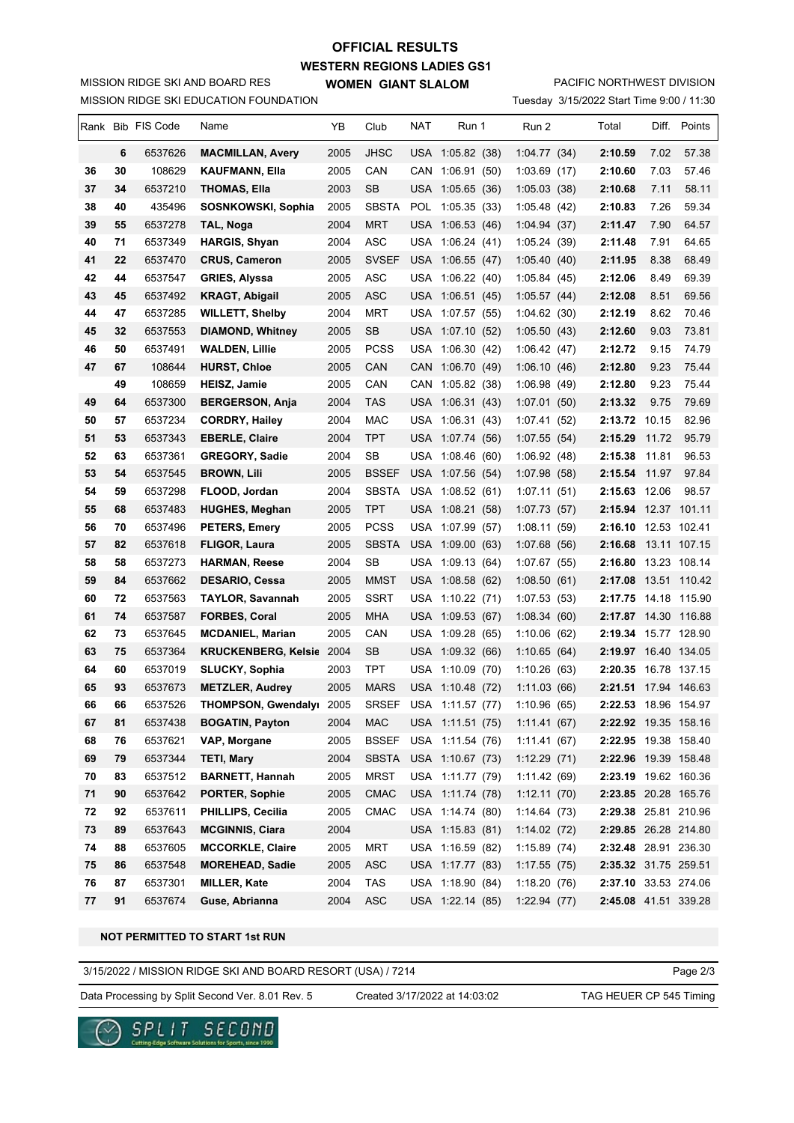### **WESTERN REGIONS LADIES GS1 WOMEN GIANT SLALOM OFFICIAL RESULTS**

MISSION RIDGE SKI EDUCATION FOUNDATION MISSION RIDGE SKI AND BOARD RES

#### PACIFIC NORTHWEST DIVISION

Tuesday 3/15/2022 Start Time 9:00 / 11:30

|          |          | Rank Bib FIS Code  | Name                                              | YB           | Club                       | NAT        | Run 1                                | Run 2                      | Total                                        |       | Diff. Points |
|----------|----------|--------------------|---------------------------------------------------|--------------|----------------------------|------------|--------------------------------------|----------------------------|----------------------------------------------|-------|--------------|
|          | 6        | 6537626            | <b>MACMILLAN, Avery</b>                           | 2005         | <b>JHSC</b>                |            | USA 1:05.82 (38)                     | 1:04.77(34)                | 2:10.59                                      | 7.02  | 57.38        |
| 36       | 30       | 108629             | <b>KAUFMANN, Ella</b>                             | 2005         | CAN                        |            | CAN 1:06.91 (50)                     | 1:03.69(17)                | 2:10.60                                      | 7.03  | 57.46        |
| 37       | 34       | 6537210            | <b>THOMAS, Ella</b>                               | 2003         | SB                         |            | USA 1:05.65 (36)                     | 1:05.03(38)                | 2:10.68                                      | 7.11  | 58.11        |
| 38       | 40       | 435496             | SOSNKOWSKI, Sophia                                | 2005         | <b>SBSTA</b>               | <b>POL</b> | 1:05.35(33)                          | 1:05.48(42)                | 2:10.83                                      | 7.26  | 59.34        |
| 39       | 55       | 6537278            | TAL, Noga                                         | 2004         | <b>MRT</b>                 |            | USA 1:06.53 (46)                     | 1:04.94(37)                | 2:11.47                                      | 7.90  | 64.57        |
| 40       | 71       | 6537349            | <b>HARGIS, Shyan</b>                              | 2004         | ASC                        | USA        | 1:06.24(41)                          | 1:05.24 (39)               | 2:11.48                                      | 7.91  | 64.65        |
| 41       | 22       | 6537470            | <b>CRUS, Cameron</b>                              | 2005         | <b>SVSEF</b>               |            | USA 1:06.55 (47)                     | 1:05.40(40)                | 2:11.95                                      | 8.38  | 68.49        |
| 42       | 44       | 6537547            | GRIES, Alyssa                                     | 2005         | ASC                        |            | USA 1:06.22 (40)                     | 1:05.84(45)                | 2:12.06                                      | 8.49  | 69.39        |
| 43       | 45       | 6537492            | KRAGT, Abigail                                    | 2005         | <b>ASC</b>                 |            | USA 1:06.51 (45)                     | 1:05.57(44)                | 2:12.08                                      | 8.51  | 69.56        |
| 44       | 47       | 6537285            | <b>WILLETT, Shelby</b>                            | 2004         | MRT                        | USA        | 1:07.57(55)                          | 1:04.62(30)                | 2:12.19                                      | 8.62  | 70.46        |
| 45       | 32       | 6537553            | <b>DIAMOND, Whitney</b>                           | 2005         | SB                         |            | USA 1:07.10 (52)                     | 1:05.50(43)                | 2:12.60                                      | 9.03  | 73.81        |
| 46       | 50       | 6537491            | <b>WALDEN, Lillie</b>                             | 2005         | <b>PCSS</b>                |            | USA 1:06.30 (42)                     | 1:06.42(47)                | 2:12.72                                      | 9.15  | 74.79        |
| 47       | 67       | 108644             | <b>HURST, Chloe</b>                               | 2005         | CAN                        | <b>CAN</b> | 1:06.70 (49)                         | 1:06.10(46)                | 2:12.80                                      | 9.23  | 75.44        |
|          | 49       | 108659             | <b>HEISZ, Jamie</b>                               | 2005         | CAN                        |            | CAN 1:05.82 (38)                     | 1:06.98(49)                | 2:12.80                                      | 9.23  | 75.44        |
| 49       | 64       | 6537300            | <b>BERGERSON, Anja</b>                            | 2004         | TAS                        | USA        | 1:06.31(43)                          | 1:07.01(50)                | 2:13.32                                      | 9.75  | 79.69        |
| 50       | 57       | 6537234            | <b>CORDRY, Hailey</b>                             | 2004         | <b>MAC</b>                 |            | USA 1:06.31 (43)                     | 1:07.41(52)                | 2:13.72                                      | 10.15 | 82.96        |
| 51       | 53       | 6537343            | <b>EBERLE, Claire</b>                             | 2004         | <b>TPT</b>                 |            | USA 1:07.74 (56)                     | 1:07.55(54)                | 2:15.29                                      | 11.72 | 95.79        |
| 52       | 63       | 6537361            | <b>GREGORY, Sadie</b>                             | 2004         | SB                         |            | USA 1:08.46 (60)                     | 1:06.92(48)                | 2:15.38                                      | 11.81 | 96.53        |
| 53       | 54       | 6537545            | <b>BROWN, Lili</b>                                | 2005         | <b>BSSEF</b>               |            | USA 1:07.56 (54)                     | 1:07.98(58)                | 2:15.54                                      | 11.97 | 97.84        |
| 54       | 59       | 6537298            | FLOOD, Jordan                                     | 2004         | <b>SBSTA</b>               |            | USA 1:08.52 (61)                     | 1:07.11(51)                | 2:15.63 12.06                                |       | 98.57        |
| 55       | 68       | 6537483            | <b>HUGHES, Meghan</b>                             | 2005         | <b>TPT</b>                 |            | USA 1:08.21 (58)                     | 1:07.73(57)                | 2:15.94 12.37 101.11                         |       |              |
| 56       | 70       | 6537496            | <b>PETERS, Emery</b>                              | 2005         | <b>PCSS</b>                | USA        | 1:07.99(57)                          | 1:08.11(59)                | 2:16.10 12.53 102.41                         |       |              |
| 57       | 82       | 6537618            | <b>FLIGOR, Laura</b>                              | 2005         | <b>SBSTA</b>               |            | USA 1:09.00 (63)                     | 1:07.68(56)                | 2:16.68                                      |       | 13.11 107.15 |
| 58       | 58       | 6537273            | <b>HARMAN, Reese</b>                              | 2004         | <b>SB</b>                  | USA        | 1:09.13(64)                          | 1:07.67(55)                | 2:16.80                                      |       | 13.23 108.14 |
| 59       | 84       | 6537662            | <b>DESARIO, Cessa</b>                             | 2005         | <b>MMST</b>                |            | USA 1:08.58 (62)                     | 1:08.50(61)                | 2:17.08                                      |       | 13.51 110.42 |
| 60       | 72       | 6537563            | <b>TAYLOR, Savannah</b>                           | 2005         | <b>SSRT</b>                | USA        | 1:10.22(71)                          | 1:07.53(53)                | 2:17.75 14.18 115.90                         |       |              |
| 61       | 74       | 6537587            | <b>FORBES, Coral</b>                              | 2005         | MHA                        |            | USA 1:09.53 (67)                     | 1:08.34(60)                | 2:17.87 14.30 116.88                         |       |              |
| 62       | 73       | 6537645            | <b>MCDANIEL, Marian</b>                           | 2005         | CAN                        | USA        | 1:09.28(65)                          | 1:10.06(62)                | 2:19.34 15.77 128.90                         |       |              |
| 63       | 75       | 6537364            | <b>KRUCKENBERG, Kelsic 2004</b>                   |              | <b>SB</b>                  |            | USA 1:09.32 (66)                     | 1:10.65(64)                | 2:19.97 16.40 134.05                         |       |              |
| 64       | 60       | 6537019            | <b>SLUCKY, Sophia</b>                             | 2003         | TPT                        | USA        | 1:10.09 (70)                         | 1:10.26(63)                | 2:20.35                                      |       | 16.78 137.15 |
| 65       | 93       | 6537673            | <b>METZLER, Audrey</b>                            | 2005         | <b>MARS</b>                |            | USA 1:10.48 (72)                     | 1:11.03(66)                | 2:21.51 17.94 146.63                         |       |              |
| 66       | 66       | 6537526            | THOMPSON, Gwendalyı 2005                          |              |                            |            | SRSEF USA 1:11.57 (77)               | 1:10.96(65)                | 2:22.53 18.96 154.97                         |       |              |
| 67       | 81       | 6537438            | <b>BOGATIN, Payton</b>                            | 2004         | MAC                        |            | USA 1:11.51 (75)                     | 1:11.41(67)                | 2:22.92 19.35 158.16                         |       |              |
| 68       | 76       | 6537621<br>6537344 | VAP, Morgane                                      | 2005         |                            |            | BSSEF USA 1:11.54 (76)               | 1:11.41(67)                | 2:22.95 19.38 158.40                         |       |              |
| 69<br>70 | 79<br>83 |                    | <b>TETI, Mary</b><br><b>BARNETT, Hannah</b>       | 2004<br>2005 | <b>SBSTA</b>               |            | USA 1:10.67 (73)                     | 1:12.29(71)                | 2:22.96 19.39 158.48                         |       |              |
|          |          | 6537512            |                                                   |              | <b>MRST</b><br><b>CMAC</b> |            | USA 1:11.77 (79)                     | 1:11.42(69)                | 2:23.19 19.62 160.36                         |       |              |
| 71<br>72 | 90<br>92 | 6537642<br>6537611 | <b>PORTER, Sophie</b><br><b>PHILLIPS, Cecilia</b> | 2005<br>2005 | <b>CMAC</b>                |            | USA 1:11.74 (78)<br>USA 1:14.74 (80) | 1:12.11(70)<br>1:14.64(73) | 2:23.85 20.28 165.76<br>2:29.38 25.81 210.96 |       |              |
| 73       | 89       | 6537643            | <b>MCGINNIS, Ciara</b>                            | 2004         |                            |            | USA 1:15.83 (81)                     | 1:14.02(72)                | 2:29.85 26.28 214.80                         |       |              |
| 74       | 88       | 6537605            | <b>MCCORKLE, Claire</b>                           |              |                            |            |                                      | 1:15.89(74)                |                                              |       |              |
| 75       | 86       | 6537548            | <b>MOREHEAD, Sadie</b>                            | 2005<br>2005 | <b>MRT</b><br><b>ASC</b>   |            | USA 1:16.59 (82)<br>USA 1:17.77 (83) | 1:17.55(75)                | 2:32.48 28.91 236.30                         |       |              |
| 76       | 87       | 6537301            | <b>MILLER, Kate</b>                               | 2004         | <b>TAS</b>                 |            | USA 1:18.90 (84)                     | 1:18.20(76)                | 2:35.32 31.75 259.51<br>2:37.10 33.53 274.06 |       |              |
| 77       | 91       | 6537674            | Guse, Abrianna                                    | 2004         | ASC                        |            | USA 1:22.14 (85)                     | 1:22.94 (77)               | 2:45.08 41.51 339.28                         |       |              |
|          |          |                    |                                                   |              |                            |            |                                      |                            |                                              |       |              |

#### **NOT PERMITTED TO START 1st RUN**

3/15/2022 / MISSION RIDGE SKI AND BOARD RESORT (USA) / 7214

Data Processing by Split Second Ver. 8.01 Rev. 5 Created 3/17/2022 at 14:03:02 TAG HEUER CP 545 Timing

Created 3/17/2022 at 14:03:02

Page 2/3